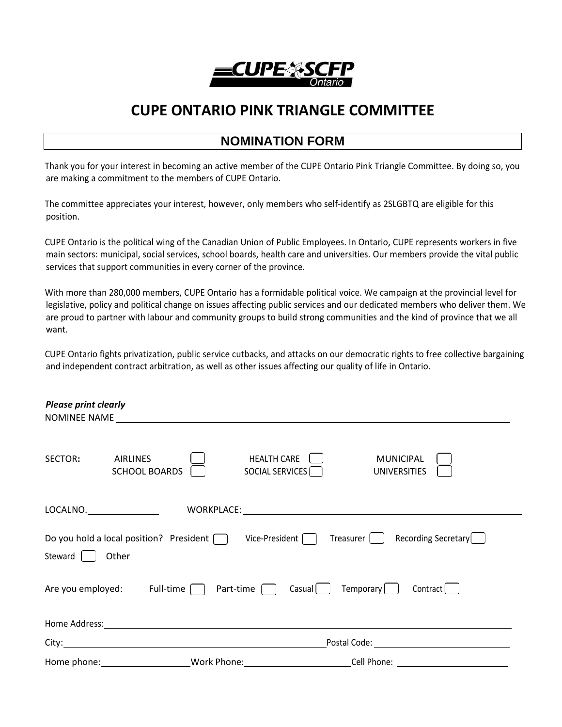

## **CUPE ONTARIO PINK TRIANGLE COMMITTEE**

## **NOMINATION FORM**

Thank you for your interest in becoming an active member of the CUPE Ontario Pink Triangle Committee. By doing so, you are making a commitment to the members of CUPE Ontario.

The committee appreciates your interest, however, only members who self-identify as 2SLGBTQ are eligible for this position.

CUPE Ontario is the political wing of the Canadian Union of Public Employees. In Ontario, CUPE represents workers in five main sectors: municipal, social services, school boards, health care and universities. Our members provide the vital public services that support communities in every corner of the province.

With more than 280,000 members, CUPE Ontario has a formidable political voice. We campaign at the provincial level for legislative, policy and political change on issues affecting public services and our dedicated members who deliver them. We are proud to partner with labour and community groups to build strong communities and the kind of province that we all want.

CUPE Ontario fights privatization, public service cutbacks, and attacks on our democratic rights to free collective bargaining and independent contract arbitration, as well as other issues affecting our quality of life in Ontario.

| <b>Please print clearly</b>                                                                                                                        |                                                                                                                                                                                                                                                                                                                                                                                                       |                                                            |                                         |  |  |  |  |
|----------------------------------------------------------------------------------------------------------------------------------------------------|-------------------------------------------------------------------------------------------------------------------------------------------------------------------------------------------------------------------------------------------------------------------------------------------------------------------------------------------------------------------------------------------------------|------------------------------------------------------------|-----------------------------------------|--|--|--|--|
| SECTOR:                                                                                                                                            | <b>AIRLINES</b><br><b>SCHOOL BOARDS</b>                                                                                                                                                                                                                                                                                                                                                               | <b>HEALTH CARE</b><br>SOCIAL SERVICES <sup>(</sup>         | <b>MUNICIPAL</b><br><b>UNIVERSITIES</b> |  |  |  |  |
|                                                                                                                                                    | $\mathsf{LOCALNO.}\hspace{0.5cm}\rule{0.7cm}{0.8cm}\hspace{0.5cm}\rule{0.7cm}{0.8cm}\hspace{0.5cm}\rule{0.7cm}{0.8cm}\hspace{0.5cm}\hspace{0.5cm}\mathsf{LOCALNO.}\hspace{0.5cm}\rule{0.7cm}{0.8cm}\hspace{0.5cm}\rule{0.7cm}\hspace{0.5cm}\hspace{0.5cm}\mathsf{LOCALNO.}\hspace{0.5cm}\rule{0.7cm}\hspace{0.5cm}\mathsf{LOCALNO.}\hspace{0.5cm}\rule{0.7cm}\hspace{0.5cm}\mathsf{LOCALNO.}\hspace{$ |                                                            |                                         |  |  |  |  |
| Steward                                                                                                                                            | Do you hold a local position? President $\Box$                                                                                                                                                                                                                                                                                                                                                        | Vice-President $\begin{bmatrix} \phantom{-} \end{bmatrix}$ | Recording Secretary<br>Treasurer        |  |  |  |  |
| Temporary [<br>Are you employed:<br>Full-time [ ]<br>Part-time $\Box$<br>$\textsf{Casual} \left[ \begin{array}{c} \end{array} \right]$<br>Contract |                                                                                                                                                                                                                                                                                                                                                                                                       |                                                            |                                         |  |  |  |  |
|                                                                                                                                                    |                                                                                                                                                                                                                                                                                                                                                                                                       |                                                            |                                         |  |  |  |  |
|                                                                                                                                                    |                                                                                                                                                                                                                                                                                                                                                                                                       |                                                            |                                         |  |  |  |  |
|                                                                                                                                                    | Work Phone:                                                                                                                                                                                                                                                                                                                                                                                           |                                                            | Cell Phone:                             |  |  |  |  |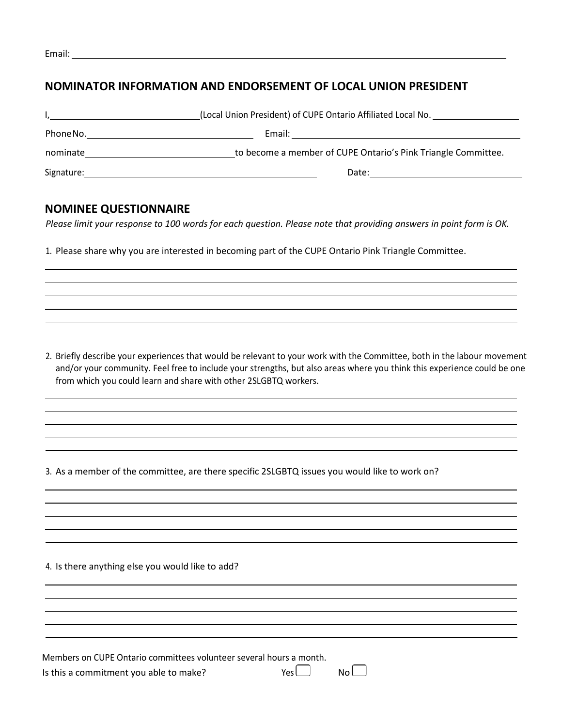| г.<br>., |  |
|----------|--|
|          |  |

## **NOMINATOR INFORMATION AND ENDORSEMENT OF LOCAL UNION PRESIDENT**

|            | (Local Union President) of CUPE Ontario Affiliated Local No.  |
|------------|---------------------------------------------------------------|
| Phone No.  | Email:                                                        |
| nominate   | to become a member of CUPE Ontario's Pink Triangle Committee. |
| Signature: | Date:                                                         |

## **NOMINEE QUESTIONNAIRE**

*Please limit your response to 100 words for each question. Please note that providing answers in point form is OK.*

1. Please share why you are interested in becoming part of the CUPE Ontario Pink Triangle Committee.

2. Briefly describe your experiences that would be relevant to your work with the Committee, both in the labour movement and/or your community. Feel free to include your strengths, but also areas where you think this experience could be one from which you could learn and share with other 2SLGBTQ workers.

3. As a member of the committee, are there specific 2SLGBTQ issues you would like to work on?

4. Is there anything else you would like to add?

Members on CUPE Ontario committees volunteer several hours a month.

Is this a commitment you able to make?  $Yes \Box$  No  $\Box$